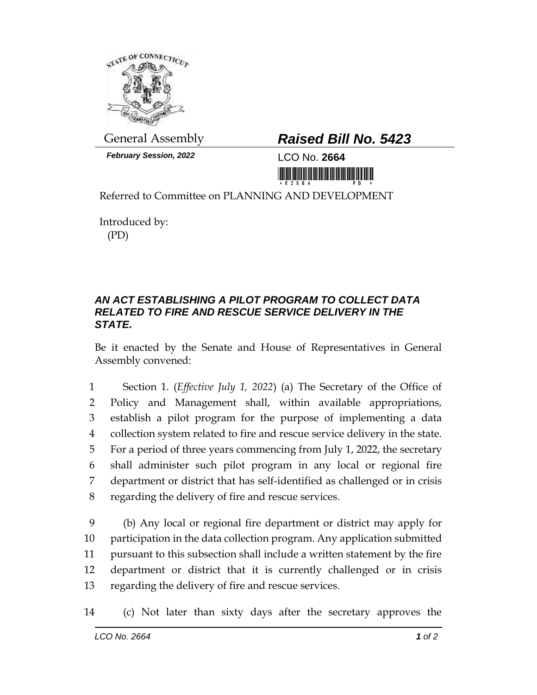

*February Session, 2022* LCO No. **2664**

## General Assembly *Raised Bill No. 5423*

<u> III Milion Album Maria Maria Maria Maria Maria Maria Maria Maria Maria Maria Maria Maria Maria Maria Maria Ma</u>

Referred to Committee on PLANNING AND DEVELOPMENT

Introduced by: (PD)

## *AN ACT ESTABLISHING A PILOT PROGRAM TO COLLECT DATA RELATED TO FIRE AND RESCUE SERVICE DELIVERY IN THE STATE.*

Be it enacted by the Senate and House of Representatives in General Assembly convened:

 Section 1. (*Effective July 1, 2022*) (a) The Secretary of the Office of Policy and Management shall, within available appropriations, establish a pilot program for the purpose of implementing a data collection system related to fire and rescue service delivery in the state. For a period of three years commencing from July 1, 2022, the secretary shall administer such pilot program in any local or regional fire department or district that has self-identified as challenged or in crisis regarding the delivery of fire and rescue services.

 (b) Any local or regional fire department or district may apply for participation in the data collection program. Any application submitted pursuant to this subsection shall include a written statement by the fire department or district that it is currently challenged or in crisis regarding the delivery of fire and rescue services.

14 (c) Not later than sixty days after the secretary approves the